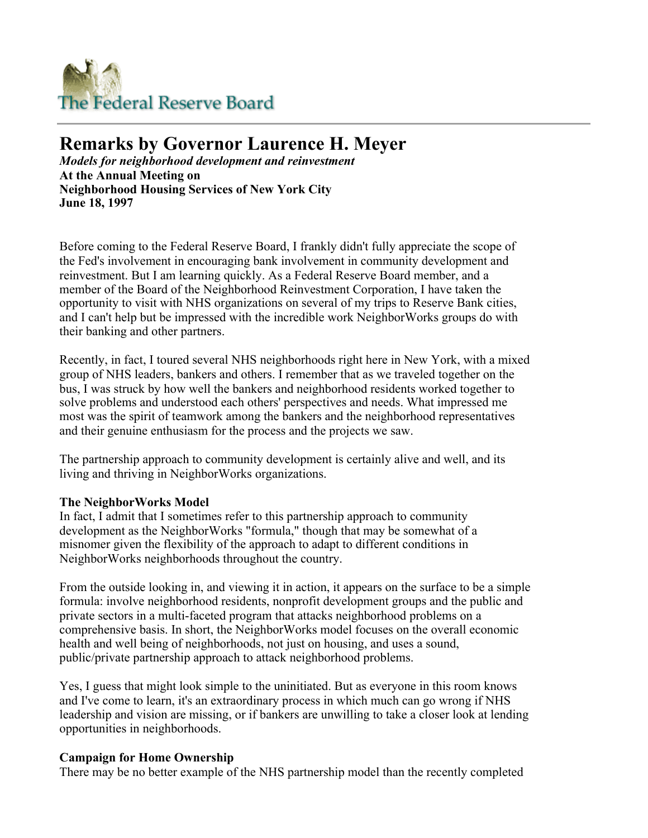

# **Remarks by Governor Laurence H. Meyer**

*Models for neighborhood development and reinvestment* **At the Annual Meeting on Neighborhood Housing Services of New York City June 18, 1997**

Before coming to the Federal Reserve Board, I frankly didn't fully appreciate the scope of the Fed's involvement in encouraging bank involvement in community development and reinvestment. But I am learning quickly. As a Federal Reserve Board member, and a member of the Board of the Neighborhood Reinvestment Corporation, I have taken the opportunity to visit with NHS organizations on several of my trips to Reserve Bank cities, and I can't help but be impressed with the incredible work NeighborWorks groups do with their banking and other partners.

Recently, in fact, I toured several NHS neighborhoods right here in New York, with a mixed group of NHS leaders, bankers and others. I remember that as we traveled together on the bus, I was struck by how well the bankers and neighborhood residents worked together to solve problems and understood each others' perspectives and needs. What impressed me most was the spirit of teamwork among the bankers and the neighborhood representatives and their genuine enthusiasm for the process and the projects we saw.

The partnership approach to community development is certainly alive and well, and its living and thriving in NeighborWorks organizations.

#### **The NeighborWorks Model**

In fact, I admit that I sometimes refer to this partnership approach to community development as the NeighborWorks "formula," though that may be somewhat of a misnomer given the flexibility of the approach to adapt to different conditions in NeighborWorks neighborhoods throughout the country.

From the outside looking in, and viewing it in action, it appears on the surface to be a simple formula: involve neighborhood residents, nonprofit development groups and the public and private sectors in a multi-faceted program that attacks neighborhood problems on a comprehensive basis. In short, the NeighborWorks model focuses on the overall economic health and well being of neighborhoods, not just on housing, and uses a sound, public/private partnership approach to attack neighborhood problems.

Yes, I guess that might look simple to the uninitiated. But as everyone in this room knows and I've come to learn, it's an extraordinary process in which much can go wrong if NHS leadership and vision are missing, or if bankers are unwilling to take a closer look at lending opportunities in neighborhoods.

#### **Campaign for Home Ownership**

There may be no better example of the NHS partnership model than the recently completed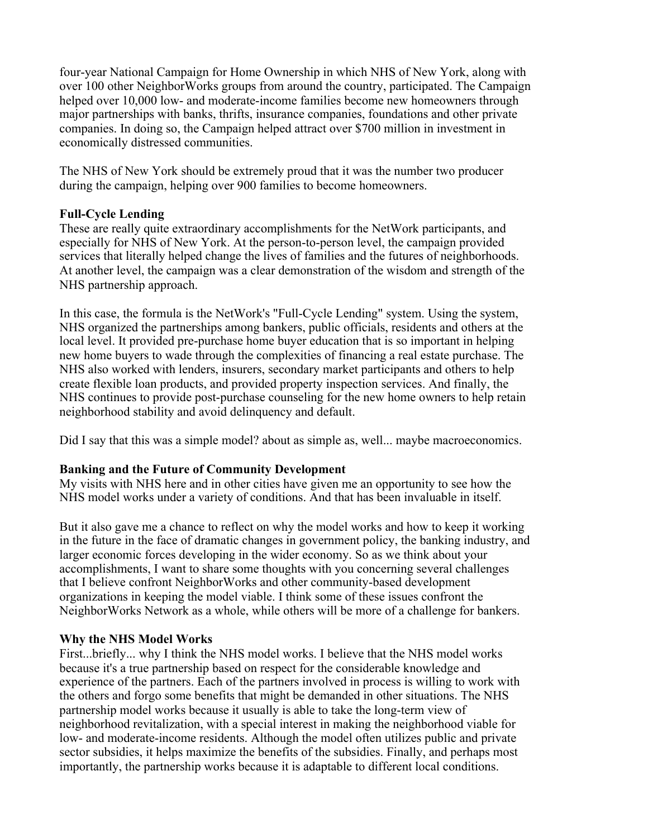four-year National Campaign for Home Ownership in which NHS of New York, along with over 100 other NeighborWorks groups from around the country, participated. The Campaign helped over 10,000 low- and moderate-income families become new homeowners through major partnerships with banks, thrifts, insurance companies, foundations and other private companies. In doing so, the Campaign helped attract over \$700 million in investment in economically distressed communities.

The NHS of New York should be extremely proud that it was the number two producer during the campaign, helping over 900 families to become homeowners.

## **Full-Cycle Lending**

These are really quite extraordinary accomplishments for the NetWork participants, and especially for NHS of New York. At the person-to-person level, the campaign provided services that literally helped change the lives of families and the futures of neighborhoods. At another level, the campaign was a clear demonstration of the wisdom and strength of the NHS partnership approach.

In this case, the formula is the NetWork's "Full-Cycle Lending" system. Using the system, NHS organized the partnerships among bankers, public officials, residents and others at the local level. It provided pre-purchase home buyer education that is so important in helping new home buyers to wade through the complexities of financing a real estate purchase. The NHS also worked with lenders, insurers, secondary market participants and others to help create flexible loan products, and provided property inspection services. And finally, the NHS continues to provide post-purchase counseling for the new home owners to help retain neighborhood stability and avoid delinquency and default.

Did I say that this was a simple model? about as simple as, well... maybe macroeconomics.

# **Banking and the Future of Community Development**

My visits with NHS here and in other cities have given me an opportunity to see how the NHS model works under a variety of conditions. And that has been invaluable in itself.

But it also gave me a chance to reflect on why the model works and how to keep it working in the future in the face of dramatic changes in government policy, the banking industry, and larger economic forces developing in the wider economy. So as we think about your accomplishments, I want to share some thoughts with you concerning several challenges that I believe confront NeighborWorks and other community-based development organizations in keeping the model viable. I think some of these issues confront the NeighborWorks Network as a whole, while others will be more of a challenge for bankers.

#### **Why the NHS Model Works**

First...briefly... why I think the NHS model works. I believe that the NHS model works because it's a true partnership based on respect for the considerable knowledge and experience of the partners. Each of the partners involved in process is willing to work with the others and forgo some benefits that might be demanded in other situations. The NHS partnership model works because it usually is able to take the long-term view of neighborhood revitalization, with a special interest in making the neighborhood viable for low- and moderate-income residents. Although the model often utilizes public and private sector subsidies, it helps maximize the benefits of the subsidies. Finally, and perhaps most importantly, the partnership works because it is adaptable to different local conditions.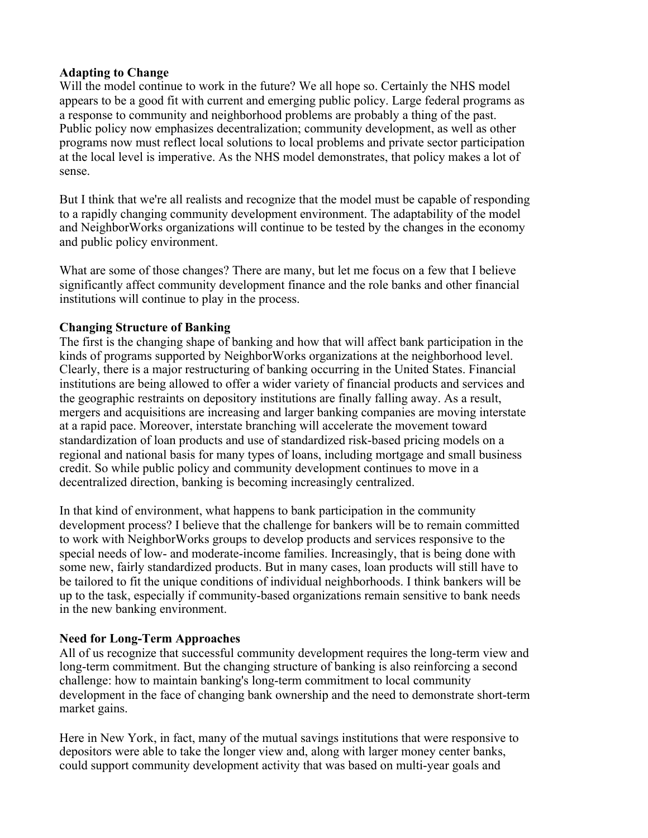#### **Adapting to Change**

Will the model continue to work in the future? We all hope so. Certainly the NHS model appears to be a good fit with current and emerging public policy. Large federal programs as a response to community and neighborhood problems are probably a thing of the past. Public policy now emphasizes decentralization; community development, as well as other programs now must reflect local solutions to local problems and private sector participation at the local level is imperative. As the NHS model demonstrates, that policy makes a lot of sense.

But I think that we're all realists and recognize that the model must be capable of responding to a rapidly changing community development environment. The adaptability of the model and NeighborWorks organizations will continue to be tested by the changes in the economy and public policy environment.

What are some of those changes? There are many, but let me focus on a few that I believe significantly affect community development finance and the role banks and other financial institutions will continue to play in the process.

## **Changing Structure of Banking**

The first is the changing shape of banking and how that will affect bank participation in the kinds of programs supported by NeighborWorks organizations at the neighborhood level. Clearly, there is a major restructuring of banking occurring in the United States. Financial institutions are being allowed to offer a wider variety of financial products and services and the geographic restraints on depository institutions are finally falling away. As a result, mergers and acquisitions are increasing and larger banking companies are moving interstate at a rapid pace. Moreover, interstate branching will accelerate the movement toward standardization of loan products and use of standardized risk-based pricing models on a regional and national basis for many types of loans, including mortgage and small business credit. So while public policy and community development continues to move in a decentralized direction, banking is becoming increasingly centralized.

In that kind of environment, what happens to bank participation in the community development process? I believe that the challenge for bankers will be to remain committed to work with NeighborWorks groups to develop products and services responsive to the special needs of low- and moderate-income families. Increasingly, that is being done with some new, fairly standardized products. But in many cases, loan products will still have to be tailored to fit the unique conditions of individual neighborhoods. I think bankers will be up to the task, especially if community-based organizations remain sensitive to bank needs in the new banking environment.

#### **Need for Long-Term Approaches**

All of us recognize that successful community development requires the long-term view and long-term commitment. But the changing structure of banking is also reinforcing a second challenge: how to maintain banking's long-term commitment to local community development in the face of changing bank ownership and the need to demonstrate short-term market gains.

Here in New York, in fact, many of the mutual savings institutions that were responsive to depositors were able to take the longer view and, along with larger money center banks, could support community development activity that was based on multi-year goals and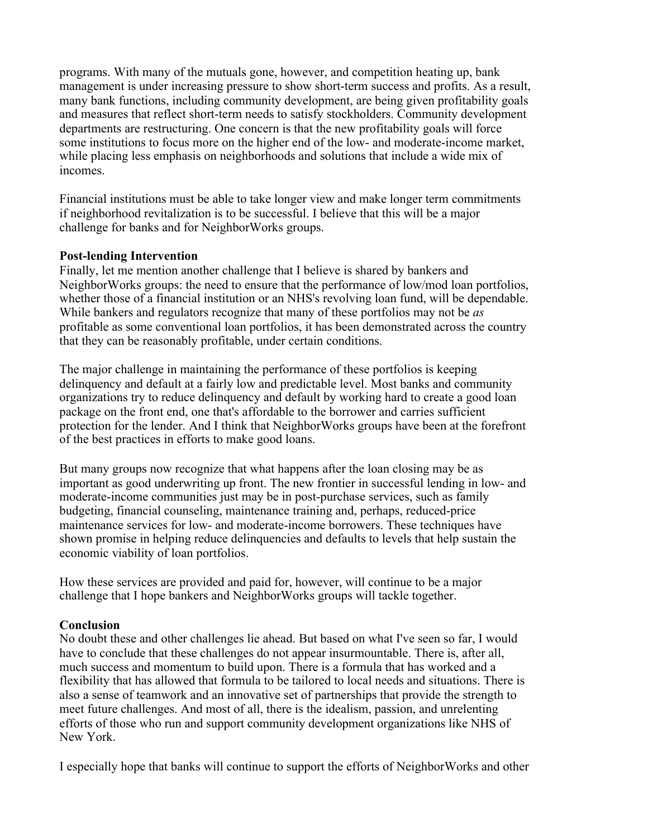programs. With many of the mutuals gone, however, and competition heating up, bank management is under increasing pressure to show short-term success and profits. As a result, many bank functions, including community development, are being given profitability goals and measures that reflect short-term needs to satisfy stockholders. Community development departments are restructuring. One concern is that the new profitability goals will force some institutions to focus more on the higher end of the low- and moderate-income market, while placing less emphasis on neighborhoods and solutions that include a wide mix of incomes.

Financial institutions must be able to take longer view and make longer term commitments if neighborhood revitalization is to be successful. I believe that this will be a major challenge for banks and for NeighborWorks groups.

#### **Post-lending Intervention**

Finally, let me mention another challenge that I believe is shared by bankers and NeighborWorks groups: the need to ensure that the performance of low/mod loan portfolios, whether those of a financial institution or an NHS's revolving loan fund, will be dependable. While bankers and regulators recognize that many of these portfolios may not be *as* profitable as some conventional loan portfolios, it has been demonstrated across the country that they can be reasonably profitable, under certain conditions.

The major challenge in maintaining the performance of these portfolios is keeping delinquency and default at a fairly low and predictable level. Most banks and community organizations try to reduce delinquency and default by working hard to create a good loan package on the front end, one that's affordable to the borrower and carries sufficient protection for the lender. And I think that NeighborWorks groups have been at the forefront of the best practices in efforts to make good loans.

But many groups now recognize that what happens after the loan closing may be as important as good underwriting up front. The new frontier in successful lending in low- and moderate-income communities just may be in post-purchase services, such as family budgeting, financial counseling, maintenance training and, perhaps, reduced-price maintenance services for low- and moderate-income borrowers. These techniques have shown promise in helping reduce delinquencies and defaults to levels that help sustain the economic viability of loan portfolios.

How these services are provided and paid for, however, will continue to be a major challenge that I hope bankers and NeighborWorks groups will tackle together.

#### **Conclusion**

No doubt these and other challenges lie ahead. But based on what I've seen so far, I would have to conclude that these challenges do not appear insurmountable. There is, after all, much success and momentum to build upon. There is a formula that has worked and a flexibility that has allowed that formula to be tailored to local needs and situations. There is also a sense of teamwork and an innovative set of partnerships that provide the strength to meet future challenges. And most of all, there is the idealism, passion, and unrelenting efforts of those who run and support community development organizations like NHS of New York.

I especially hope that banks will continue to support the efforts of NeighborWorks and other